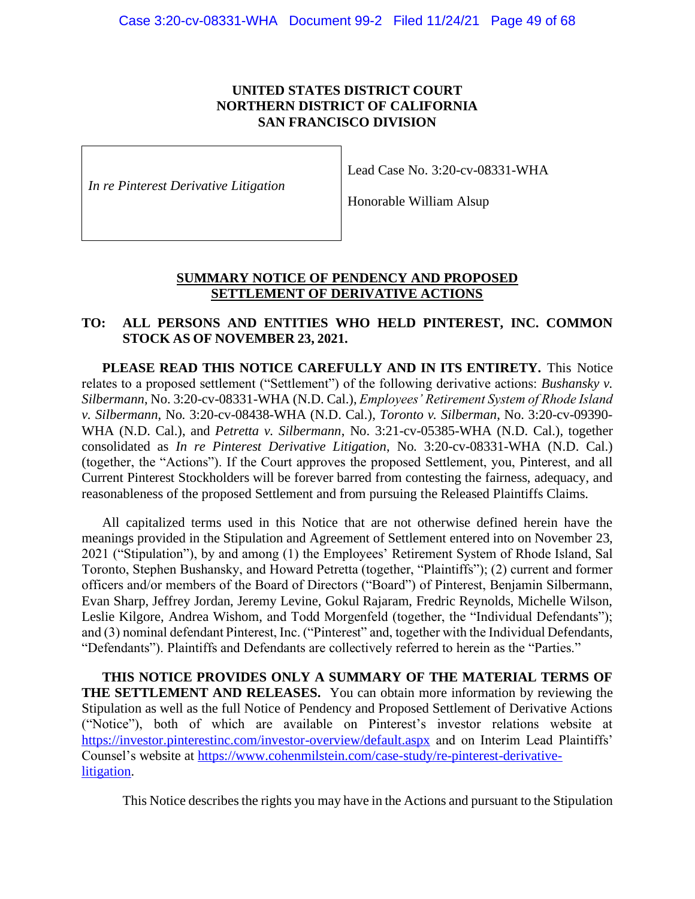## **UNITED STATES DISTRICT COURT NORTHERN DISTRICT OF CALIFORNIA SAN FRANCISCO DIVISION**

*In re Pinterest Derivative Litigation*

Lead Case No. 3:20-cv-08331-WHA

Honorable William Alsup

## **SUMMARY NOTICE OF PENDENCY AND PROPOSED SETTLEMENT OF DERIVATIVE ACTIONS**

## **TO: ALL PERSONS AND ENTITIES WHO HELD PINTEREST, INC. COMMON STOCK AS OF NOVEMBER 23, 2021.**

**PLEASE READ THIS NOTICE CAREFULLY AND IN ITS ENTIRETY.** This Notice relates to a proposed settlement ("Settlement") of the following derivative actions: *Bushansky v. Silbermann*, No. 3:20-cv-08331-WHA (N.D. Cal.), *Employees' Retirement System of Rhode Island v. Silbermann*, No. 3:20-cv-08438-WHA (N.D. Cal.), *Toronto v. Silberman*, No. 3:20-cv-09390- WHA (N.D. Cal.), and *Petretta v. Silbermann*, No. 3:21-cv-05385-WHA (N.D. Cal.), together consolidated as *In re Pinterest Derivative Litigation*, No. 3:20-cv-08331-WHA (N.D. Cal.) (together, the "Actions"). If the Court approves the proposed Settlement, you, Pinterest, and all Current Pinterest Stockholders will be forever barred from contesting the fairness, adequacy, and reasonableness of the proposed Settlement and from pursuing the Released Plaintiffs Claims.

All capitalized terms used in this Notice that are not otherwise defined herein have the meanings provided in the Stipulation and Agreement of Settlement entered into on November 23, 2021 ("Stipulation"), by and among (1) the Employees' Retirement System of Rhode Island, Sal Toronto, Stephen Bushansky, and Howard Petretta (together, "Plaintiffs"); (2) current and former officers and/or members of the Board of Directors ("Board") of Pinterest, Benjamin Silbermann, Evan Sharp, Jeffrey Jordan, Jeremy Levine, Gokul Rajaram, Fredric Reynolds, Michelle Wilson, Leslie Kilgore, Andrea Wishom, and Todd Morgenfeld (together, the "Individual Defendants"); and (3) nominal defendant Pinterest, Inc. ("Pinterest" and, together with the Individual Defendants, "Defendants"). Plaintiffs and Defendants are collectively referred to herein as the "Parties."

**THIS NOTICE PROVIDES ONLY A SUMMARY OF THE MATERIAL TERMS OF THE SETTLEMENT AND RELEASES.** You can obtain more information by reviewing the Stipulation as well as the full Notice of Pendency and Proposed Settlement of Derivative Actions ("Notice"), both of which are available on Pinterest's investor relations website at <https://investor.pinterestinc.com/investor-overview/default.aspx> and on Interim Lead Plaintiffs' Counsel's website at [https://www.cohenmilstein.com/case-study/re-pinterest-derivative](https://www.cohenmilstein.com/case-study/re-pinterest-derivative-litigation)[litigation.](https://www.cohenmilstein.com/case-study/re-pinterest-derivative-litigation)

This Notice describes the rights you may have in the Actions and pursuant to the Stipulation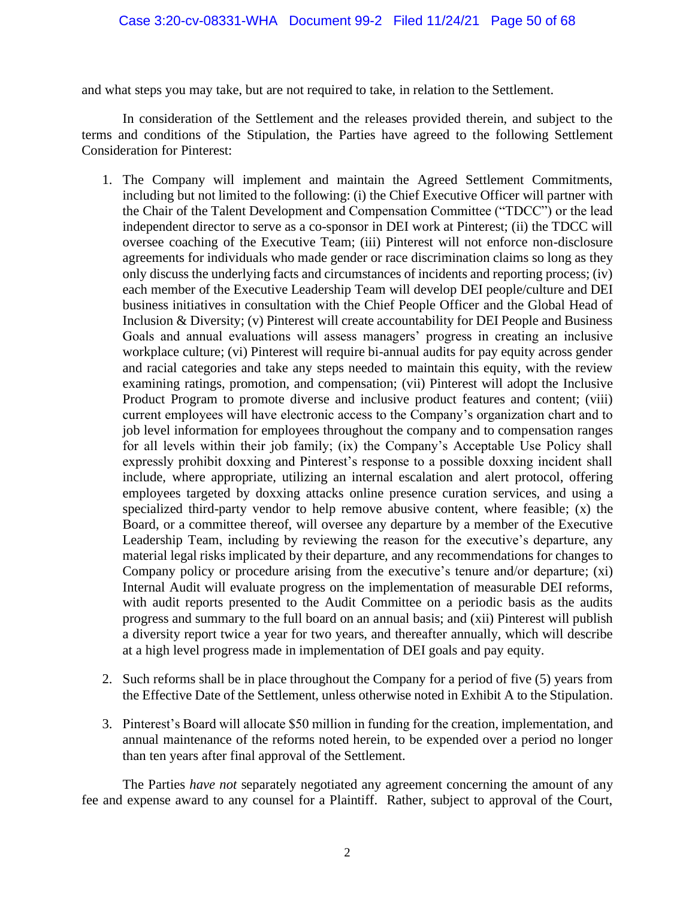and what steps you may take, but are not required to take, in relation to the Settlement.

In consideration of the Settlement and the releases provided therein, and subject to the terms and conditions of the Stipulation, the Parties have agreed to the following Settlement Consideration for Pinterest:

- 1. The Company will implement and maintain the Agreed Settlement Commitments, including but not limited to the following: (i) the Chief Executive Officer will partner with the Chair of the Talent Development and Compensation Committee ("TDCC") or the lead independent director to serve as a co-sponsor in DEI work at Pinterest; (ii) the TDCC will oversee coaching of the Executive Team; (iii) Pinterest will not enforce non-disclosure agreements for individuals who made gender or race discrimination claims so long as they only discuss the underlying facts and circumstances of incidents and reporting process; (iv) each member of the Executive Leadership Team will develop DEI people/culture and DEI business initiatives in consultation with the Chief People Officer and the Global Head of Inclusion & Diversity; (v) Pinterest will create accountability for DEI People and Business Goals and annual evaluations will assess managers' progress in creating an inclusive workplace culture; (vi) Pinterest will require bi-annual audits for pay equity across gender and racial categories and take any steps needed to maintain this equity, with the review examining ratings, promotion, and compensation; (vii) Pinterest will adopt the Inclusive Product Program to promote diverse and inclusive product features and content; (viii) current employees will have electronic access to the Company's organization chart and to job level information for employees throughout the company and to compensation ranges for all levels within their job family; (ix) the Company's Acceptable Use Policy shall expressly prohibit doxxing and Pinterest's response to a possible doxxing incident shall include, where appropriate, utilizing an internal escalation and alert protocol, offering employees targeted by doxxing attacks online presence curation services, and using a specialized third-party vendor to help remove abusive content, where feasible; (x) the Board, or a committee thereof, will oversee any departure by a member of the Executive Leadership Team, including by reviewing the reason for the executive's departure, any material legal risks implicated by their departure, and any recommendations for changes to Company policy or procedure arising from the executive's tenure and/or departure; (xi) Internal Audit will evaluate progress on the implementation of measurable DEI reforms, with audit reports presented to the Audit Committee on a periodic basis as the audits progress and summary to the full board on an annual basis; and (xii) Pinterest will publish a diversity report twice a year for two years, and thereafter annually, which will describe at a high level progress made in implementation of DEI goals and pay equity.
- 2. Such reforms shall be in place throughout the Company for a period of five (5) years from the Effective Date of the Settlement, unless otherwise noted in Exhibit A to the Stipulation.
- 3. Pinterest's Board will allocate \$50 million in funding for the creation, implementation, and annual maintenance of the reforms noted herein, to be expended over a period no longer than ten years after final approval of the Settlement.

The Parties *have not* separately negotiated any agreement concerning the amount of any fee and expense award to any counsel for a Plaintiff. Rather, subject to approval of the Court,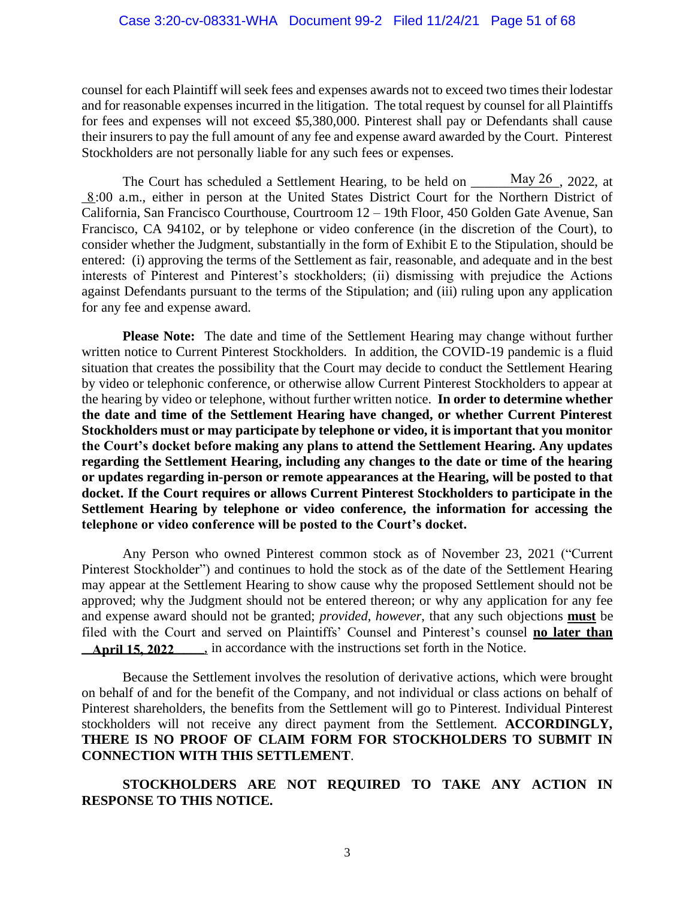counsel for each Plaintiff will seek fees and expenses awards not to exceed two times their lodestar and for reasonable expenses incurred in the litigation. The total request by counsel for all Plaintiffs for fees and expenses will not exceed \$5,380,000. Pinterest shall pay or Defendants shall cause their insurers to pay the full amount of any fee and expense award awarded by the Court. Pinterest Stockholders are not personally liable for any such fees or expenses.

The Court has scheduled a Settlement Hearing, to be held on  $\frac{\text{May }26}{\text{May }26}$ , 2022, at 8:00 a.m., either in person at the United States District Court for the Northern District of California, San Francisco Courthouse, Courtroom 12 – 19th Floor, 450 Golden Gate Avenue, San Francisco, CA 94102, or by telephone or video conference (in the discretion of the Court), to consider whether the Judgment, substantially in the form of Exhibit E to the Stipulation, should be entered: (i) approving the terms of the Settlement as fair, reasonable, and adequate and in the best interests of Pinterest and Pinterest's stockholders; (ii) dismissing with prejudice the Actions against Defendants pursuant to the terms of the Stipulation; and (iii) ruling upon any application for any fee and expense award.

**Please Note:** The date and time of the Settlement Hearing may change without further written notice to Current Pinterest Stockholders. In addition, the COVID-19 pandemic is a fluid situation that creates the possibility that the Court may decide to conduct the Settlement Hearing by video or telephonic conference, or otherwise allow Current Pinterest Stockholders to appear at the hearing by video or telephone, without further written notice. **In order to determine whether the date and time of the Settlement Hearing have changed, or whether Current Pinterest Stockholders must or may participate by telephone or video, it is important that you monitor the Court's docket before making any plans to attend the Settlement Hearing. Any updates regarding the Settlement Hearing, including any changes to the date or time of the hearing or updates regarding in-person or remote appearances at the Hearing, will be posted to that docket. If the Court requires or allows Current Pinterest Stockholders to participate in the Settlement Hearing by telephone or video conference, the information for accessing the telephone or video conference will be posted to the Court's docket.**

Any Person who owned Pinterest common stock as of November 23, 2021 ("Current Pinterest Stockholder") and continues to hold the stock as of the date of the Settlement Hearing may appear at the Settlement Hearing to show cause why the proposed Settlement should not be approved; why the Judgment should not be entered thereon; or why any application for any fee and expense award should not be granted; *provided, however*, that any such objections **must** be filed with the Court and served on Plaintiffs' Counsel and Pinterest's counsel **no later than**  April 15, 2022 . in accordance with the instructions set forth in the Notice.

Because the Settlement involves the resolution of derivative actions, which were brought on behalf of and for the benefit of the Company, and not individual or class actions on behalf of Pinterest shareholders, the benefits from the Settlement will go to Pinterest. Individual Pinterest stockholders will not receive any direct payment from the Settlement. **ACCORDINGLY, THERE IS NO PROOF OF CLAIM FORM FOR STOCKHOLDERS TO SUBMIT IN CONNECTION WITH THIS SETTLEMENT**.

**STOCKHOLDERS ARE NOT REQUIRED TO TAKE ANY ACTION IN RESPONSE TO THIS NOTICE.**